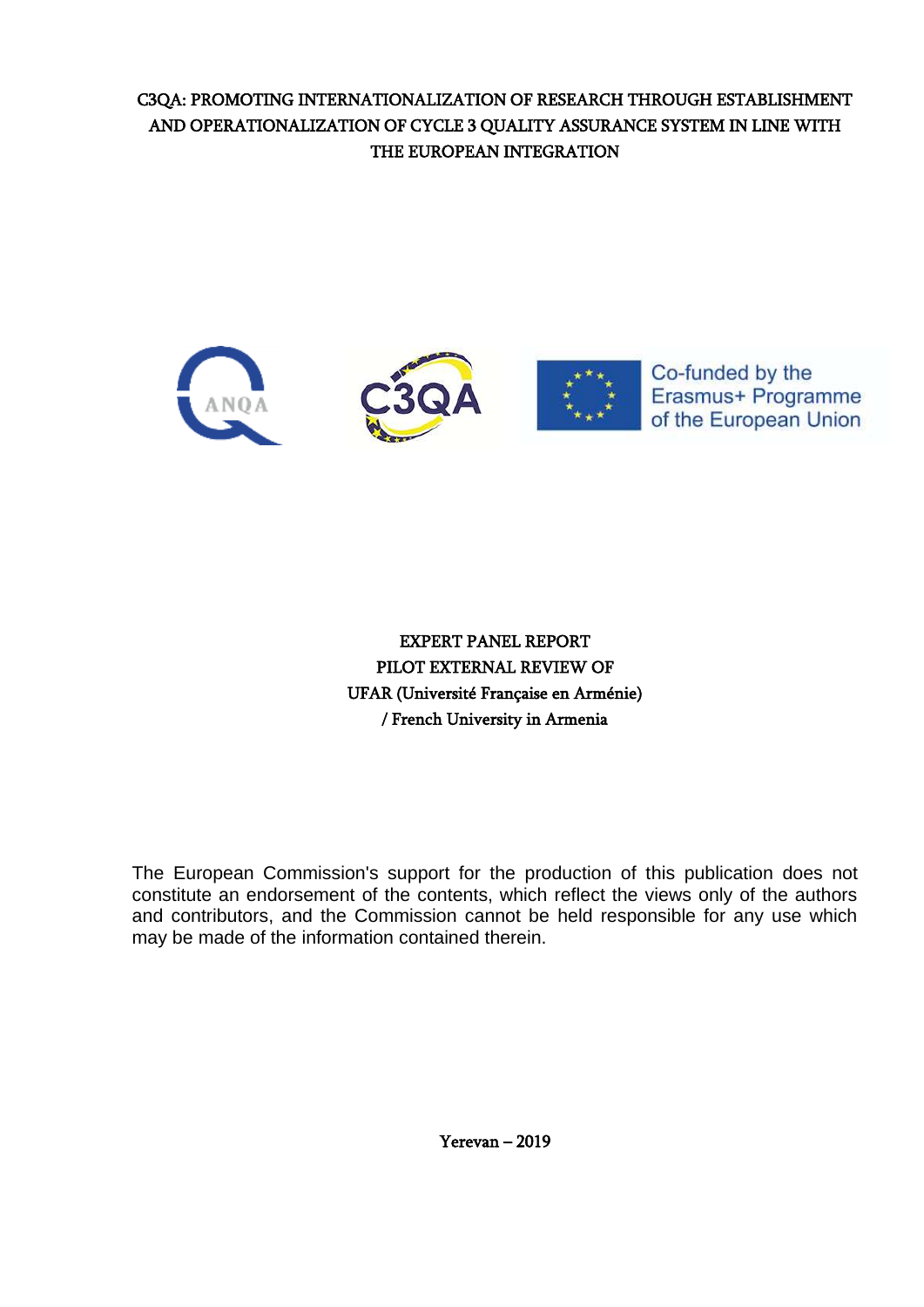# C3QA: PROMOTING INTERNATIONALIZATION OF RESEARCH THROUGH ESTABLISHMENT AND OPERATIONALIZATION OF CYCLE 3 QUALITY ASSURANCE SYSTEM IN LINE WITH THE EUROPEAN INTEGRATION



EXPERT PANEL REPORT PILOT EXTERNAL REVIEW OF UFAR (Université Française en Arménie) / French University in Armenia

The European Commission's support for the production of this publication does not constitute an endorsement of the contents, which reflect the views only of the authors and contributors, and the Commission cannot be held responsible for any use which may be made of the information contained therein.

Yerevan – 2019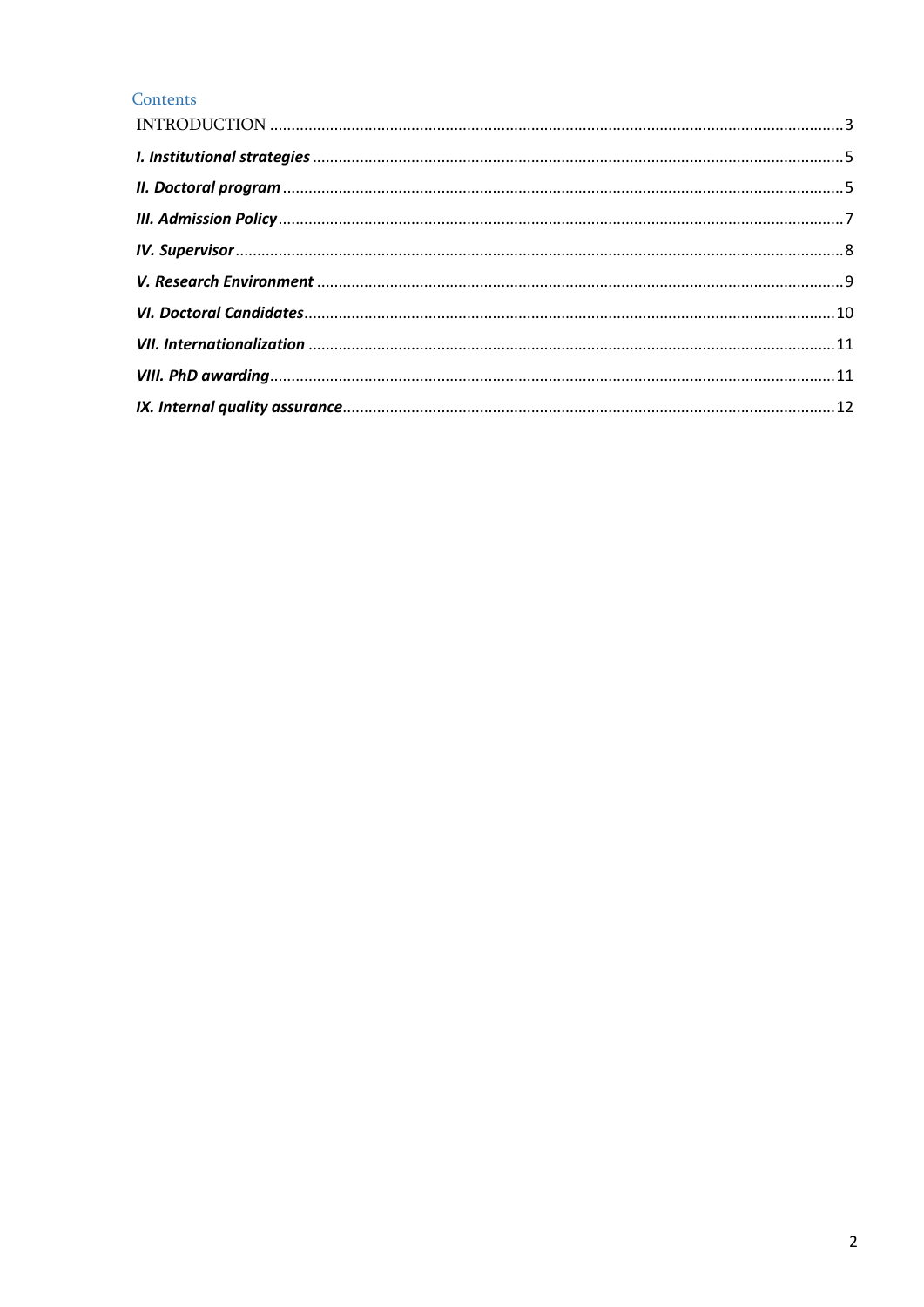# Contents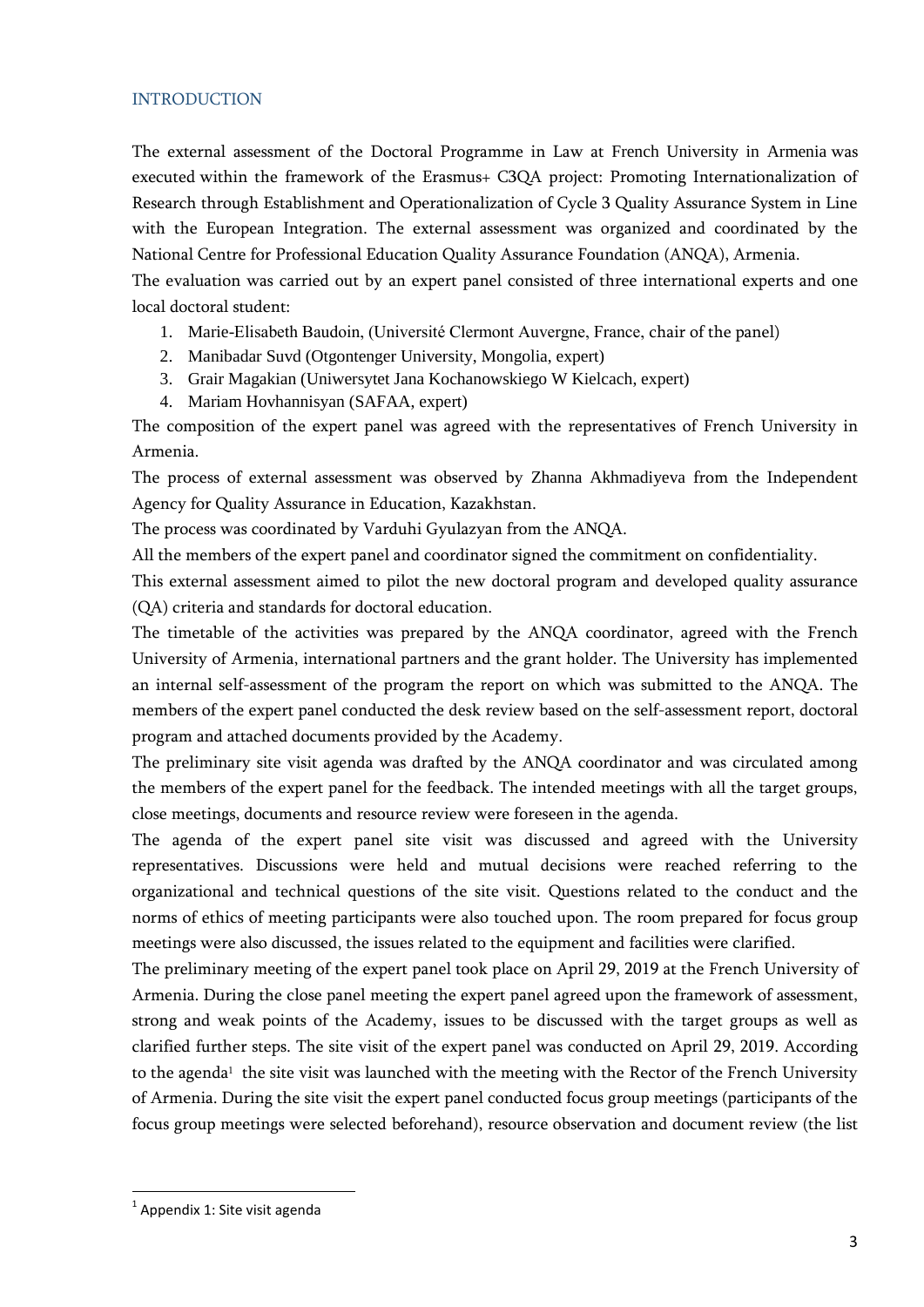## <span id="page-2-0"></span>**INTRODUCTION**

The external assessment of the Doctoral Programme in Law at French University in Armenia was executed within the framework of the Erasmus+ C3QA project: Promoting Internationalization of Research through Establishment and Operationalization of Cycle 3 Quality Assurance System in Line with the European Integration. The external assessment was organized and coordinated by the National Centre for Professional Education Quality Assurance Foundation (ANQA), Armenia. The evaluation was carried out by an expert panel consisted of three international experts and one

local doctoral student:

- 1. Marie-Elisabeth Baudoin, (Université Clermont Auvergne, France, chair of the panel)
- 2. Manibadar Suvd (Otgontenger University, Mongolia, expert)
- 3. Grair Magakian [\(Uniwersytet Jana Kochanowskiego W Kielcach,](http://c3-qa.com/wp-content/uploads/2017/02/The-Jan-Kochanowski-University.docx) expert)
- 4. Mariam Hovhannisyan (SAFAA, expert)

The composition of the expert panel was agreed with the representatives of French University in Armenia.

The process of external assessment was observed by Zhanna Akhmadiyeva from the Independent Agency for Quality Assurance in Education, Kazakhstan.

The process was coordinated by Varduhi Gyulazyan from the ANQA.

All the members of the expert panel and coordinator signed the commitment on confidentiality.

This external assessment aimed to pilot the new doctoral program and developed quality assurance (QA) criteria and standards for doctoral education.

The timetable of the activities was prepared by the ANQA coordinator, agreed with the French University of Armenia, international partners and the grant holder. The University has implemented an internal self-assessment of the program the report on which was submitted to the ANQA. The members of the expert panel conducted the desk review based on the self-assessment report, doctoral program and attached documents provided by the Academy.

The preliminary site visit agenda was drafted by the ANQA coordinator and was circulated among the members of the expert panel for the feedback. The intended meetings with all the target groups, close meetings, documents and resource review were foreseen in the agenda.

The agenda of the expert panel site visit was discussed and agreed with the University representatives. Discussions were held and mutual decisions were reached referring to the organizational and technical questions of the site visit. Questions related to the conduct and the norms of ethics of meeting participants were also touched upon. The room prepared for focus group meetings were also discussed, the issues related to the equipment and facilities were clarified.

The preliminary meeting of the expert panel took place on April 29, 2019 at the French University of Armenia. During the close panel meeting the expert panel agreed upon the framework of assessment, strong and weak points of the Academy, issues to be discussed with the target groups as well as clarified further steps. The site visit of the expert panel was conducted on April 29, 2019. According to the agenda<sup>1</sup> the site visit was launched with the meeting with the Rector of the French University of Armenia. During the site visit the expert panel conducted focus group meetings (participants of the focus group meetings were selected beforehand), resource observation and document review (the list

**.** 

 $^1$  Appendix 1: Site visit agenda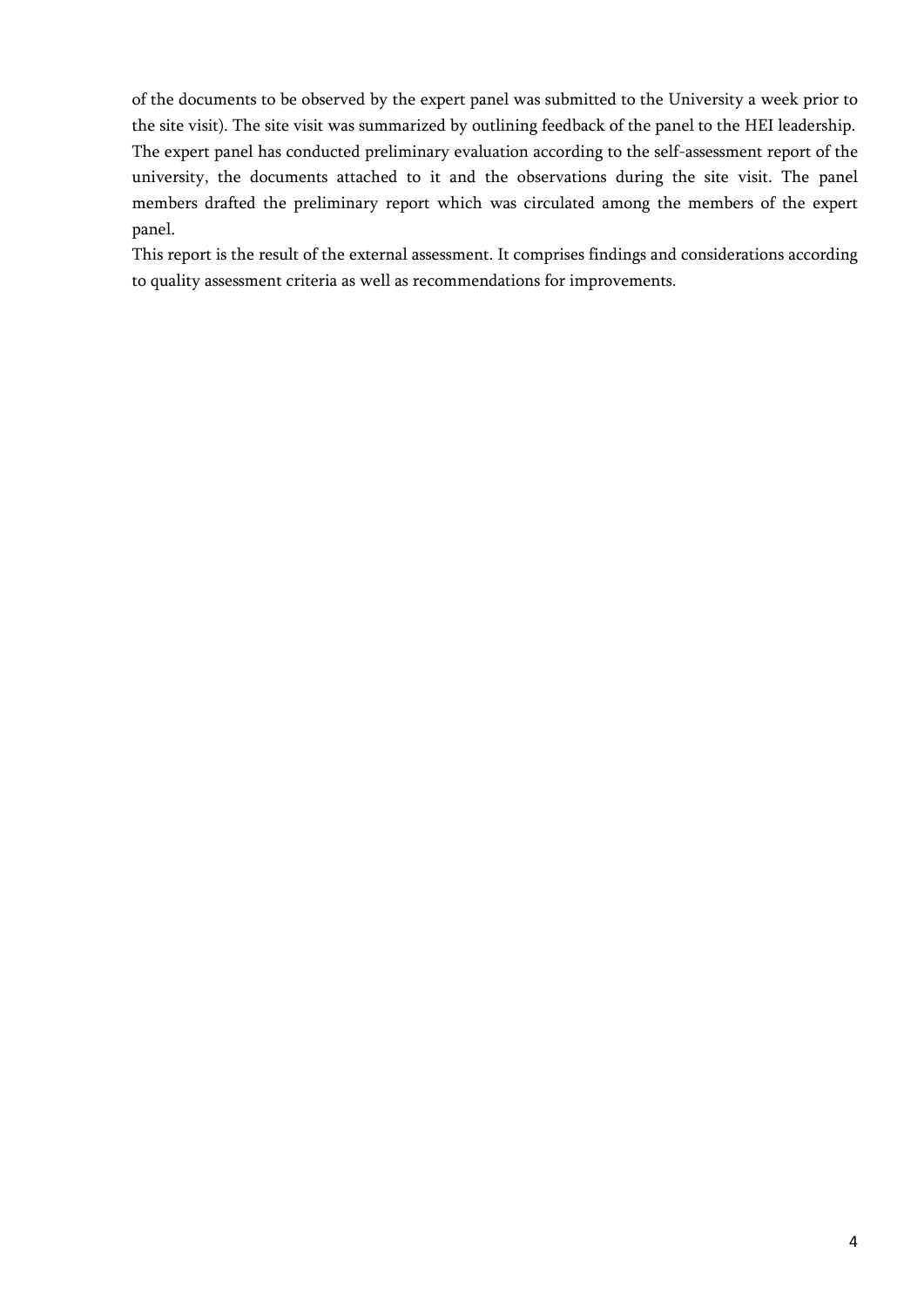of the documents to be observed by the expert panel was submitted to the University a week prior to the site visit). The site visit was summarized by outlining feedback of the panel to the HEI leadership. The expert panel has conducted preliminary evaluation according to the self-assessment report of the university, the documents attached to it and the observations during the site visit. The panel members drafted the preliminary report which was circulated among the members of the expert panel.

This report is the result of the external assessment. It comprises findings and considerations according to quality assessment criteria as well as recommendations for improvements.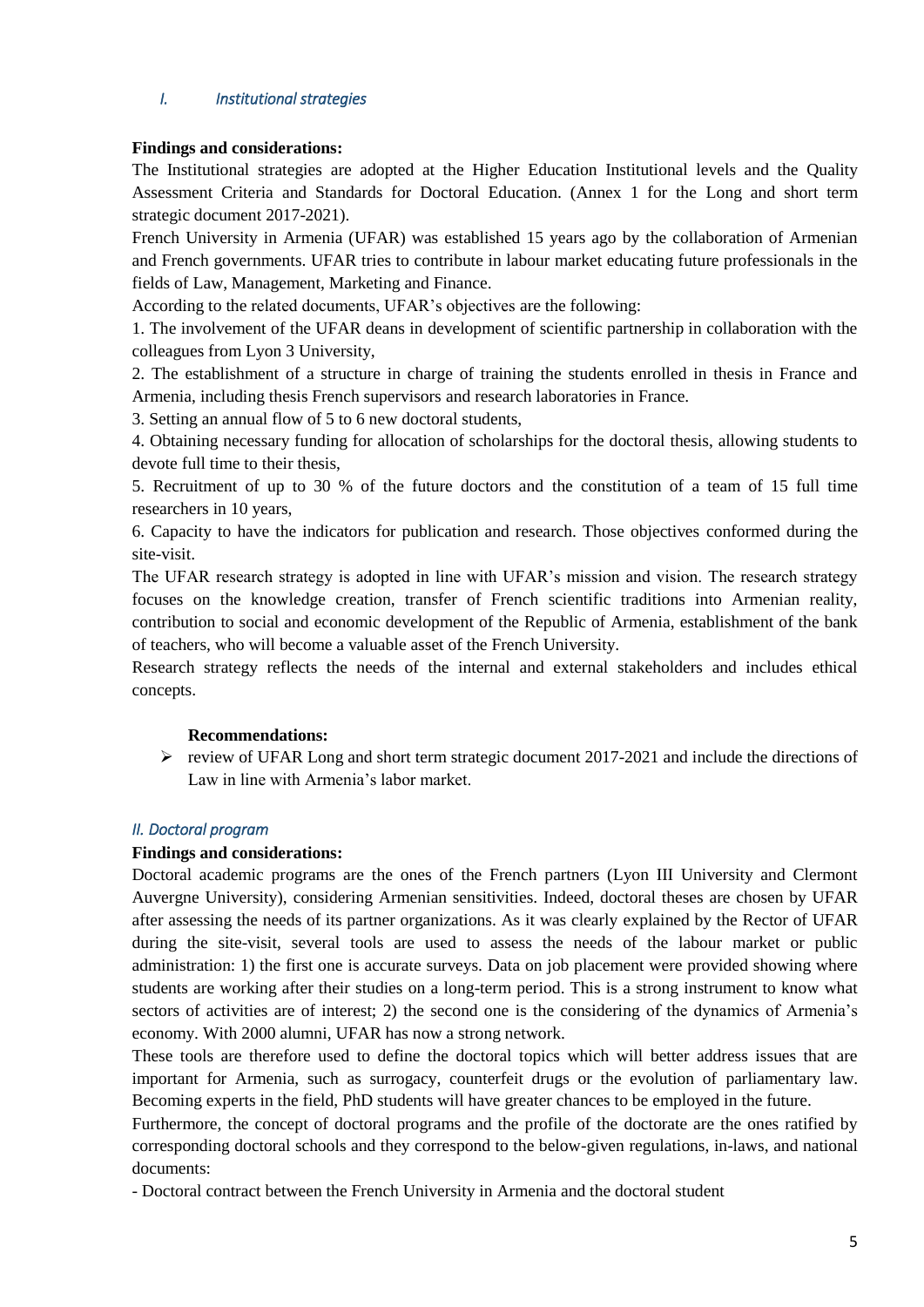# <span id="page-4-0"></span>*I. Institutional strategies*

## **Findings and considerations:**

The Institutional strategies are adopted at the Higher Education Institutional levels and the Quality Assessment Criteria and Standards for Doctoral Education. (Annex 1 for the Long and short term strategic document 2017-2021).

French University in Armenia (UFAR) was established 15 years ago by the collaboration of Armenian and French governments. UFAR tries to contribute in labour market educating future professionals in the fields of Law, Management, Marketing and Finance.

According to the related documents, UFAR's objectives are the following:

1. The involvement of the UFAR deans in development of scientific partnership in collaboration with the colleagues from Lyon 3 University,

2. The establishment of a structure in charge of training the students enrolled in thesis in France and Armenia, including thesis French supervisors and research laboratories in France.

3. Setting an annual flow of 5 to 6 new doctoral students,

4. Obtaining necessary funding for allocation of scholarships for the doctoral thesis, allowing students to devote full time to their thesis,

5. Recruitment of up to 30 % of the future doctors and the constitution of a team of 15 full time researchers in 10 years,

6. Capacity to have the indicators for publication and research. Those objectives conformed during the site-visit.

The UFAR research strategy is adopted in line with UFAR's mission and vision. The research strategy focuses on the knowledge creation, transfer of French scientific traditions into Armenian reality, contribution to social and economic development of the Republic of Armenia, establishment of the bank of teachers, who will become a valuable asset of the French University.

Research strategy reflects the needs of the internal and external stakeholders and includes ethical concepts.

## **Recommendations:**

 $\triangleright$  review of UFAR Long and short term strategic document 2017-2021 and include the directions of Law in line with Armenia's labor market.

## <span id="page-4-1"></span>*II. Doctoral program*

#### **Findings and considerations:**

Doctoral academic programs are the ones of the French partners (Lyon III University and Clermont Auvergne University), considering Armenian sensitivities. Indeed, doctoral theses are chosen by UFAR after assessing the needs of its partner organizations. As it was clearly explained by the Rector of UFAR during the site-visit, several tools are used to assess the needs of the labour market or public administration: 1) the first one is accurate surveys. Data on job placement were provided showing where students are working after their studies on a long-term period. This is a strong instrument to know what sectors of activities are of interest; 2) the second one is the considering of the dynamics of Armenia's economy. With 2000 alumni, UFAR has now a strong network.

These tools are therefore used to define the doctoral topics which will better address issues that are important for Armenia, such as surrogacy, counterfeit drugs or the evolution of parliamentary law. Becoming experts in the field, PhD students will have greater chances to be employed in the future.

Furthermore, the concept of doctoral programs and the profile of the doctorate are the ones ratified by corresponding doctoral schools and they correspond to the below-given regulations, in-laws, and national documents:

- Doctoral contract between the French University in Armenia and the doctoral student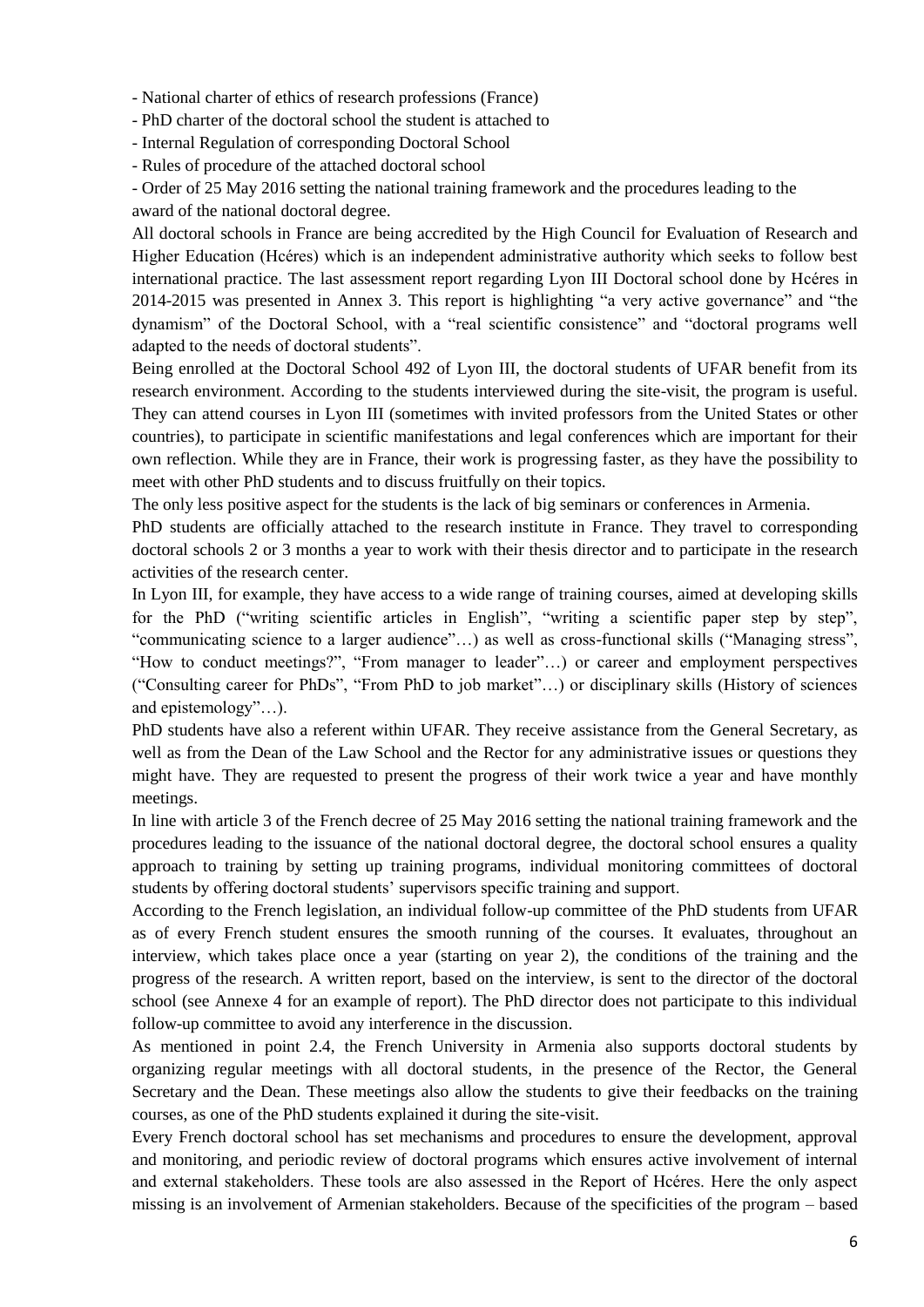- National charter of ethics of research professions (France)

- PhD charter of the doctoral school the student is attached to

- Internal Regulation of corresponding Doctoral School

- Rules of procedure of the attached doctoral school

- Order of 25 May 2016 setting the national training framework and the procedures leading to the

award of the national doctoral degree.

All doctoral schools in France are being accredited by the High Council for Evaluation of Research and Higher Education (Hcéres) which is an independent administrative authority which seeks to follow best international practice. The last assessment report regarding Lyon III Doctoral school done by Hcéres in 2014-2015 was presented in Annex 3. This report is highlighting "a very active governance" and "the dynamism" of the Doctoral School, with a "real scientific consistence" and "doctoral programs well adapted to the needs of doctoral students".

Being enrolled at the Doctoral School 492 of Lyon III, the doctoral students of UFAR benefit from its research environment. According to the students interviewed during the site-visit, the program is useful. They can attend courses in Lyon III (sometimes with invited professors from the United States or other countries), to participate in scientific manifestations and legal conferences which are important for their own reflection. While they are in France, their work is progressing faster, as they have the possibility to meet with other PhD students and to discuss fruitfully on their topics.

The only less positive aspect for the students is the lack of big seminars or conferences in Armenia.

PhD students are officially attached to the research institute in France. They travel to corresponding doctoral schools 2 or 3 months a year to work with their thesis director and to participate in the research activities of the research center.

In Lyon III, for example, they have access to a wide range of training courses, aimed at developing skills for the PhD ("writing scientific articles in English", "writing a scientific paper step by step", "communicating science to a larger audience"…) as well as cross-functional skills ("Managing stress", "How to conduct meetings?", "From manager to leader"…) or career and employment perspectives ("Consulting career for PhDs", "From PhD to job market"…) or disciplinary skills (History of sciences and epistemology"…).

PhD students have also a referent within UFAR. They receive assistance from the General Secretary, as well as from the Dean of the Law School and the Rector for any administrative issues or questions they might have. They are requested to present the progress of their work twice a year and have monthly meetings.

In line with article 3 of the French decree of 25 May 2016 setting the national training framework and the procedures leading to the issuance of the national doctoral degree, the doctoral school ensures a quality approach to training by setting up training programs, individual monitoring committees of doctoral students by offering doctoral students' supervisors specific training and support.

According to the French legislation, an individual follow-up committee of the PhD students from UFAR as of every French student ensures the smooth running of the courses. It evaluates, throughout an interview, which takes place once a year (starting on year 2), the conditions of the training and the progress of the research. A written report, based on the interview, is sent to the director of the doctoral school (see Annexe 4 for an example of report). The PhD director does not participate to this individual follow-up committee to avoid any interference in the discussion.

As mentioned in point 2.4, the French University in Armenia also supports doctoral students by organizing regular meetings with all doctoral students, in the presence of the Rector, the General Secretary and the Dean. These meetings also allow the students to give their feedbacks on the training courses, as one of the PhD students explained it during the site-visit.

Every French doctoral school has set mechanisms and procedures to ensure the development, approval and monitoring, and periodic review of doctoral programs which ensures active involvement of internal and external stakeholders. These tools are also assessed in the Report of Hcéres. Here the only aspect missing is an involvement of Armenian stakeholders. Because of the specificities of the program – based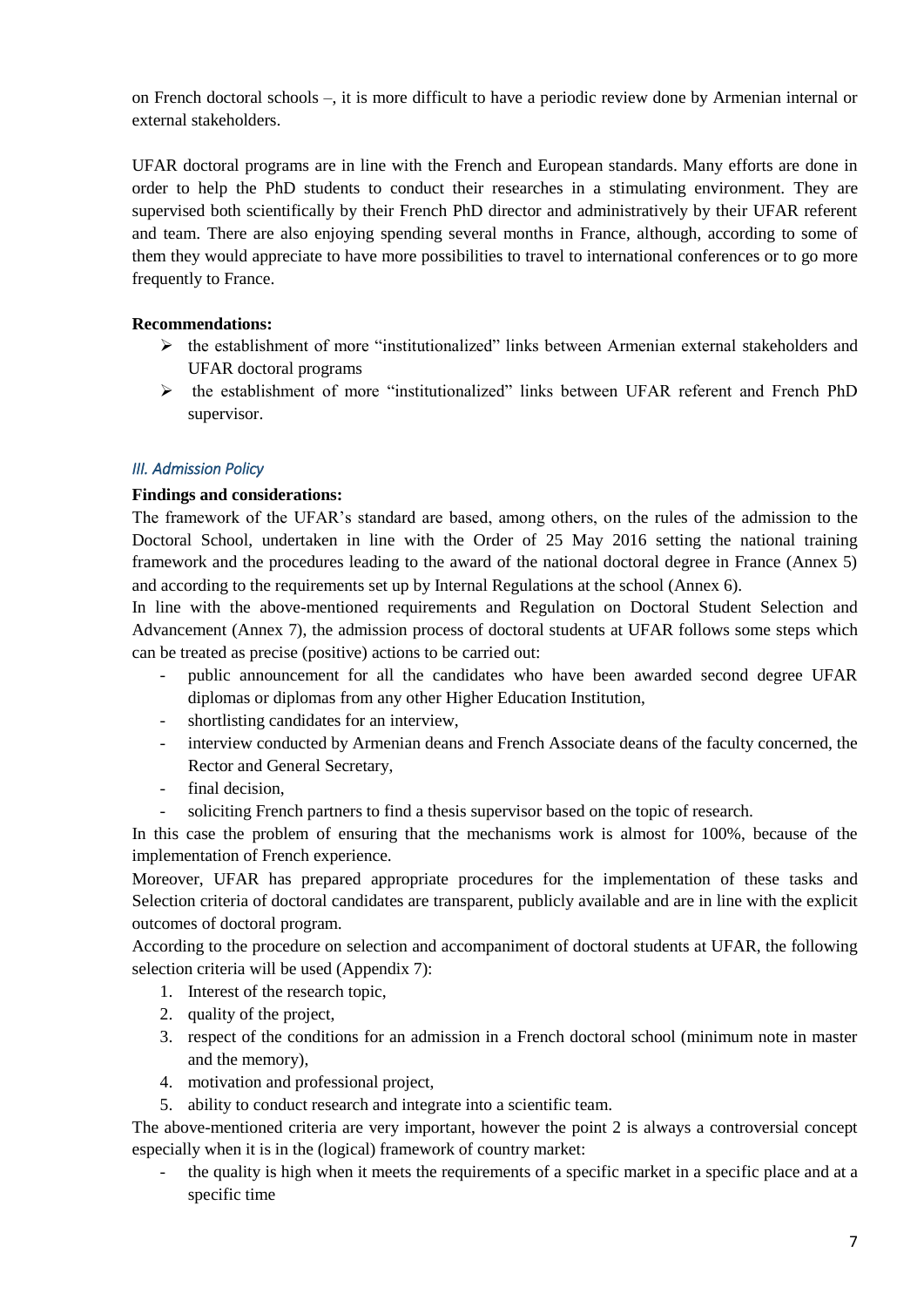on French doctoral schools –, it is more difficult to have a periodic review done by Armenian internal or external stakeholders.

UFAR doctoral programs are in line with the French and European standards. Many efforts are done in order to help the PhD students to conduct their researches in a stimulating environment. They are supervised both scientifically by their French PhD director and administratively by their UFAR referent and team. There are also enjoying spending several months in France, although, according to some of them they would appreciate to have more possibilities to travel to international conferences or to go more frequently to France.

# **Recommendations:**

- $\triangleright$  the establishment of more "institutionalized" links between Armenian external stakeholders and UFAR doctoral programs
- the establishment of more "institutionalized" links between UFAR referent and French PhD supervisor.

## <span id="page-6-0"></span>*III. Admission Policy*

## **Findings and considerations:**

The framework of the UFAR's standard are based, among others, on the rules of the admission to the Doctoral School, undertaken in line with the Order of 25 May 2016 setting the national training framework and the procedures leading to the award of the national doctoral degree in France (Annex 5) and according to the requirements set up by Internal Regulations at the school (Annex 6).

In line with the above-mentioned requirements and Regulation on Doctoral Student Selection and Advancement (Annex 7), the admission process of doctoral students at UFAR follows some steps which can be treated as precise (positive) actions to be carried out:

- public announcement for all the candidates who have been awarded second degree UFAR diplomas or diplomas from any other Higher Education Institution,
- shortlisting candidates for an interview,
- interview conducted by Armenian deans and French Associate deans of the faculty concerned, the Rector and General Secretary,
- final decision,
- soliciting French partners to find a thesis supervisor based on the topic of research.

In this case the problem of ensuring that the mechanisms work is almost for 100%, because of the implementation of French experience.

Moreover, UFAR has prepared appropriate procedures for the implementation of these tasks and Selection criteria of doctoral candidates are transparent, publicly available and are in line with the explicit outcomes of doctoral program.

According to the procedure on selection and accompaniment of doctoral students at UFAR, the following selection criteria will be used (Appendix 7):

- 1. Interest of the research topic,
- 2. quality of the project,
- 3. respect of the conditions for an admission in a French doctoral school (minimum note in master and the memory),
- 4. motivation and professional project,
- 5. ability to conduct research and integrate into a scientific team.

The above-mentioned criteria are very important, however the point 2 is always a controversial concept especially when it is in the (logical) framework of country market:

the quality is high when it meets the requirements of a specific market in a specific place and at a specific time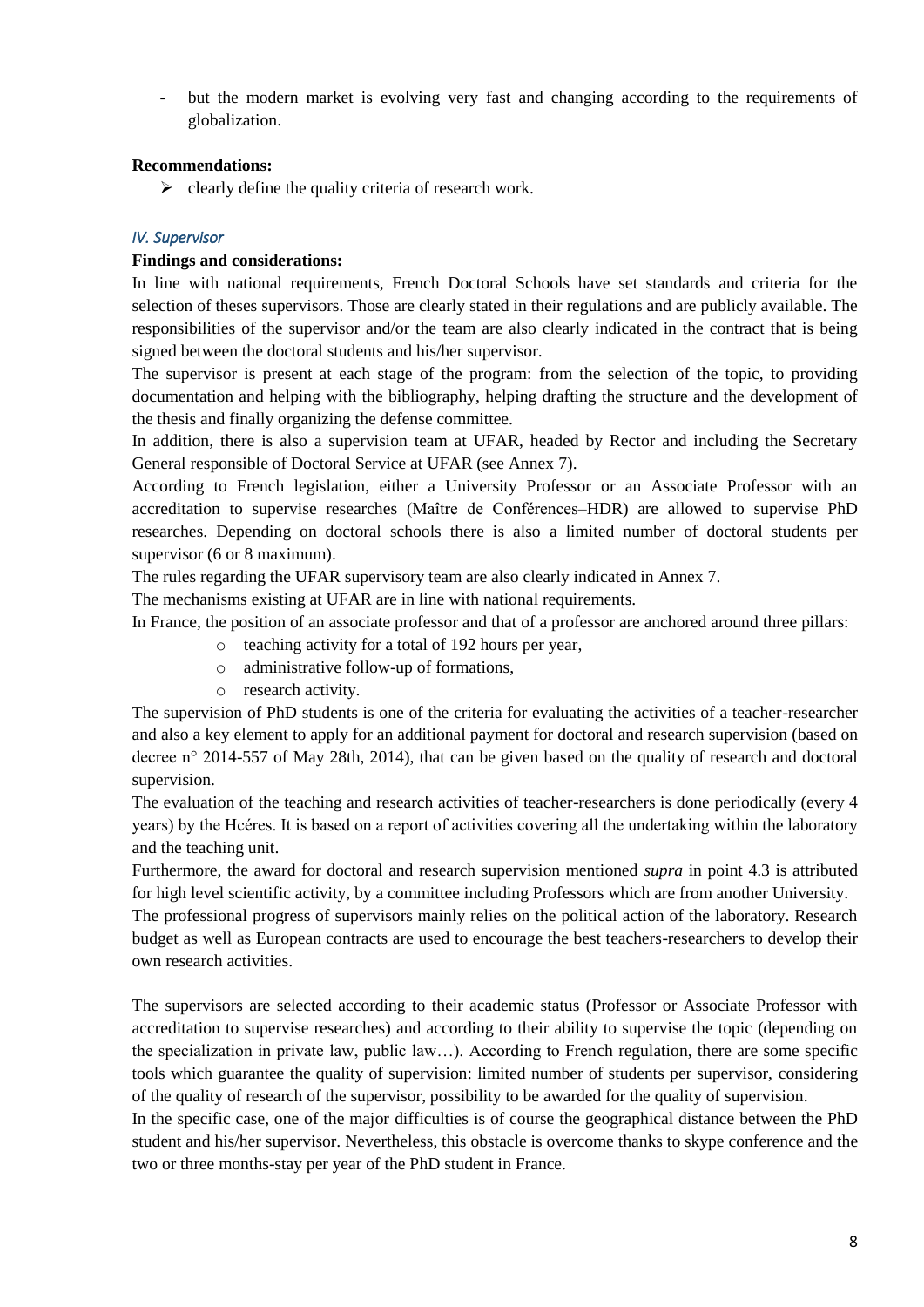- but the modern market is evolving very fast and changing according to the requirements of globalization.

## **Recommendations:**

 $\triangleright$  clearly define the quality criteria of research work.

## <span id="page-7-0"></span>*IV. Supervisor*

#### **Findings and considerations:**

In line with national requirements, French Doctoral Schools have set standards and criteria for the selection of theses supervisors. Those are clearly stated in their regulations and are publicly available. The responsibilities of the supervisor and/or the team are also clearly indicated in the contract that is being signed between the doctoral students and his/her supervisor.

The supervisor is present at each stage of the program: from the selection of the topic, to providing documentation and helping with the bibliography, helping drafting the structure and the development of the thesis and finally organizing the defense committee.

In addition, there is also a supervision team at UFAR, headed by Rector and including the Secretary General responsible of Doctoral Service at UFAR (see Annex 7).

According to French legislation, either a University Professor or an Associate Professor with an accreditation to supervise researches (Maître de Conférences–HDR) are allowed to supervise PhD researches. Depending on doctoral schools there is also a limited number of doctoral students per supervisor (6 or 8 maximum).

The rules regarding the UFAR supervisory team are also clearly indicated in Annex 7.

The mechanisms existing at UFAR are in line with national requirements.

In France, the position of an associate professor and that of a professor are anchored around three pillars:

- o teaching activity for a total of 192 hours per year,
- o administrative follow-up of formations,
- o research activity.

The supervision of PhD students is one of the criteria for evaluating the activities of a teacher-researcher and also a key element to apply for an additional payment for doctoral and research supervision (based on decree n° 2014-557 of May 28th, 2014), that can be given based on the quality of research and doctoral supervision.

The evaluation of the teaching and research activities of teacher-researchers is done periodically (every 4 years) by the Hcéres. It is based on a report of activities covering all the undertaking within the laboratory and the teaching unit.

Furthermore, the award for doctoral and research supervision mentioned *supra* in point 4.3 is attributed for high level scientific activity, by a committee including Professors which are from another University. The professional progress of supervisors mainly relies on the political action of the laboratory. Research budget as well as European contracts are used to encourage the best teachers-researchers to develop their own research activities.

The supervisors are selected according to their academic status (Professor or Associate Professor with accreditation to supervise researches) and according to their ability to supervise the topic (depending on the specialization in private law, public law…). According to French regulation, there are some specific tools which guarantee the quality of supervision: limited number of students per supervisor, considering of the quality of research of the supervisor, possibility to be awarded for the quality of supervision.

In the specific case, one of the major difficulties is of course the geographical distance between the PhD student and his/her supervisor. Nevertheless, this obstacle is overcome thanks to skype conference and the two or three months-stay per year of the PhD student in France.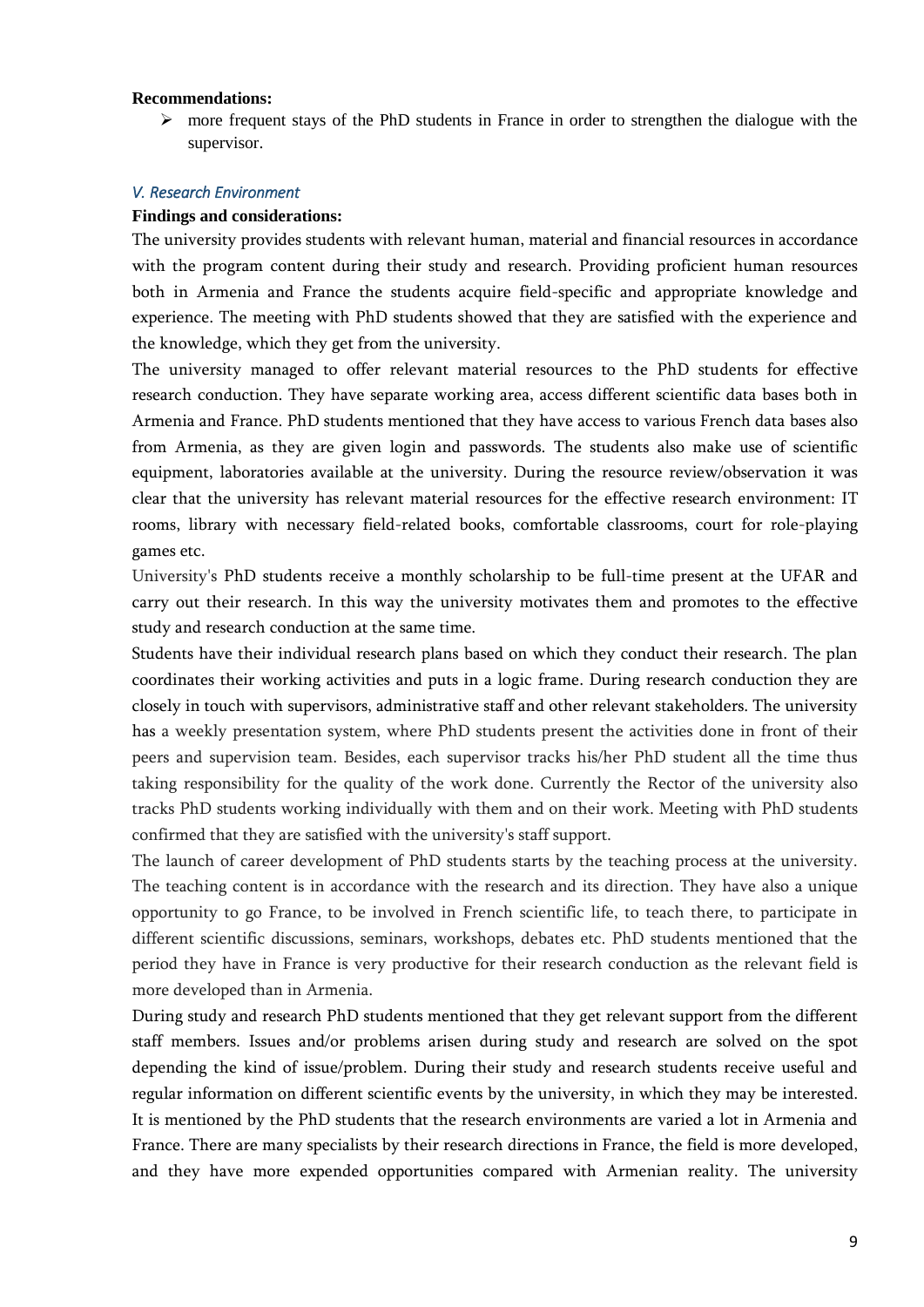#### **Recommendations:**

 $\triangleright$  more frequent stays of the PhD students in France in order to strengthen the dialogue with the supervisor.

#### <span id="page-8-0"></span>*V. Research Environment*

## **Findings and considerations:**

The university provides students with relevant human, material and financial resources in accordance with the program content during their study and research. Providing proficient human resources both in Armenia and France the students acquire field-specific and appropriate knowledge and experience. The meeting with PhD students showed that they are satisfied with the experience and the knowledge, which they get from the university.

The university managed to offer relevant material resources to the PhD students for effective research conduction. They have separate working area, access different scientific data bases both in Armenia and France. PhD students mentioned that they have access to various French data bases also from Armenia, as they are given login and passwords. The students also make use of scientific equipment, laboratories available at the university. During the resource review/observation it was clear that the university has relevant material resources for the effective research environment: IT rooms, library with necessary field-related books, comfortable classrooms, court for role-playing games etc.

University's PhD students receive a monthly scholarship to be full-time present at the UFAR and carry out their research. In this way the university motivates them and promotes to the effective study and research conduction at the same time.

Students have their individual research plans based on which they conduct their research. The plan coordinates their working activities and puts in a logic frame. During research conduction they are closely in touch with supervisors, administrative staff and other relevant stakeholders. The university has a weekly presentation system, where PhD students present the activities done in front of their peers and supervision team. Besides, each supervisor tracks his/her PhD student all the time thus taking responsibility for the quality of the work done. Currently the Rector of the university also tracks PhD students working individually with them and on their work. Meeting with PhD students confirmed that they are satisfied with the university's staff support.

The launch of career development of PhD students starts by the teaching process at the university. The teaching content is in accordance with the research and its direction. They have also a unique opportunity to go France, to be involved in French scientific life, to teach there, to participate in different scientific discussions, seminars, workshops, debates etc. PhD students mentioned that the period they have in France is very productive for their research conduction as the relevant field is more developed than in Armenia.

During study and research PhD students mentioned that they get relevant support from the different staff members. Issues and/or problems arisen during study and research are solved on the spot depending the kind of issue/problem. During their study and research students receive useful and regular information on different scientific events by the university, in which they may be interested. It is mentioned by the PhD students that the research environments are varied a lot in Armenia and France. There are many specialists by their research directions in France, the field is more developed, and they have more expended opportunities compared with Armenian reality. The university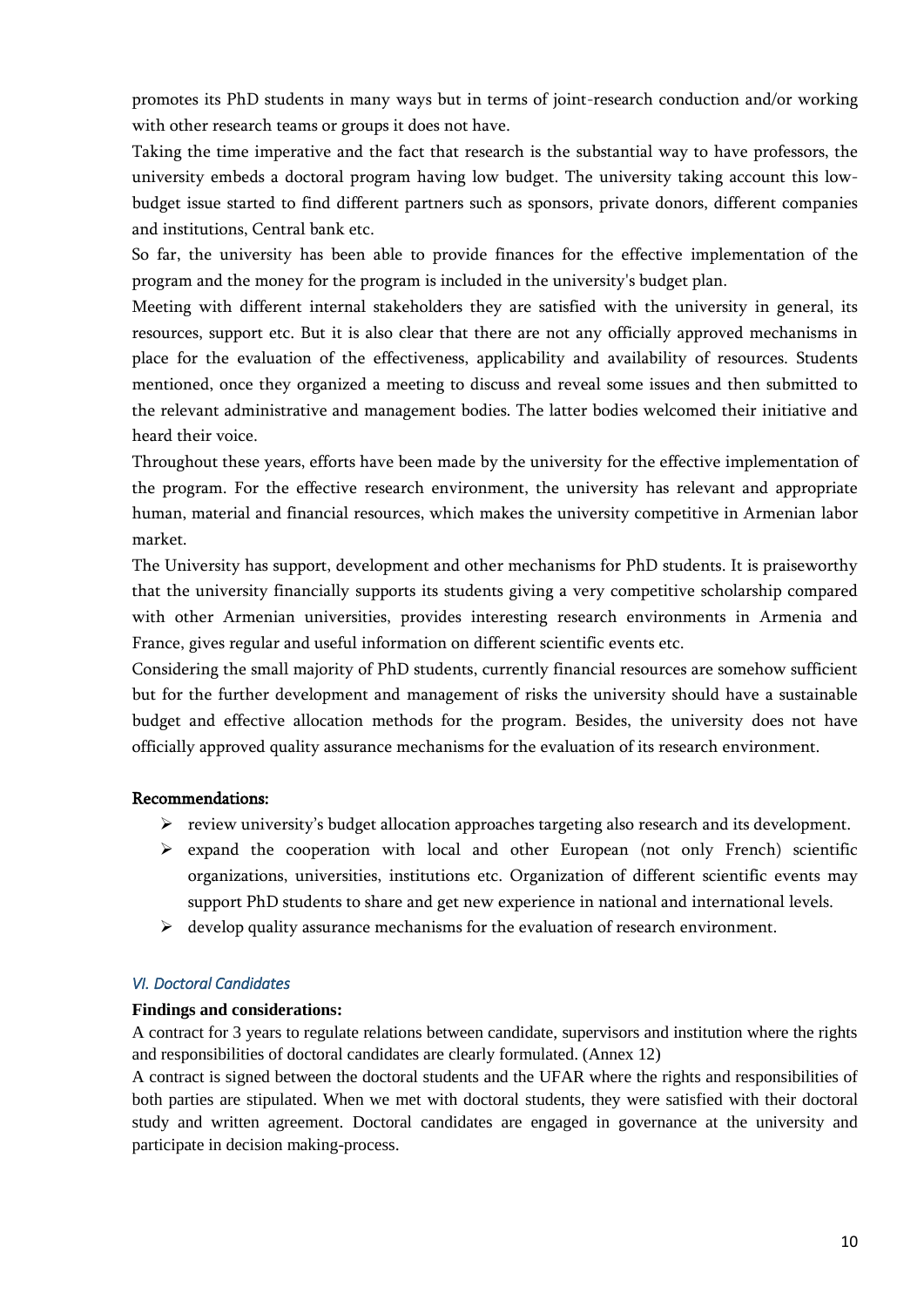promotes its PhD students in many ways but in terms of joint-research conduction and/or working with other research teams or groups it does not have.

Taking the time imperative and the fact that research is the substantial way to have professors, the university embeds a doctoral program having low budget. The university taking account this lowbudget issue started to find different partners such as sponsors, private donors, different companies and institutions, Central bank etc.

So far, the university has been able to provide finances for the effective implementation of the program and the money for the program is included in the university's budget plan.

Meeting with different internal stakeholders they are satisfied with the university in general, its resources, support etc. But it is also clear that there are not any officially approved mechanisms in place for the evaluation of the effectiveness, applicability and availability of resources. Students mentioned, once they organized a meeting to discuss and reveal some issues and then submitted to the relevant administrative and management bodies. The latter bodies welcomed their initiative and heard their voice.

Throughout these years, efforts have been made by the university for the effective implementation of the program. For the effective research environment, the university has relevant and appropriate human, material and financial resources, which makes the university competitive in Armenian labor market.

The University has support, development and other mechanisms for PhD students. It is praiseworthy that the university financially supports its students giving a very competitive scholarship compared with other Armenian universities, provides interesting research environments in Armenia and France, gives regular and useful information on different scientific events etc.

Considering the small majority of PhD students, currently financial resources are somehow sufficient but for the further development and management of risks the university should have a sustainable budget and effective allocation methods for the program. Besides, the university does not have officially approved quality assurance mechanisms for the evaluation of its research environment.

## Recommendations:

- review university's budget allocation approaches targeting also research and its development.
- $\triangleright$  expand the cooperation with local and other European (not only French) scientific organizations, universities, institutions etc. Organization of different scientific events may support PhD students to share and get new experience in national and international levels.
- $\triangleright$  develop quality assurance mechanisms for the evaluation of research environment.

## <span id="page-9-0"></span>*VI. Doctoral Candidates*

## **Findings and considerations:**

A contract for 3 years to regulate relations between candidate, supervisors and institution where the rights and responsibilities of doctoral candidates are clearly formulated. (Annex 12)

A contract is signed between the doctoral students and the UFAR where the rights and responsibilities of both parties are stipulated. When we met with doctoral students, they were satisfied with their doctoral study and written agreement. Doctoral candidates are engaged in governance at the university and participate in decision making-process.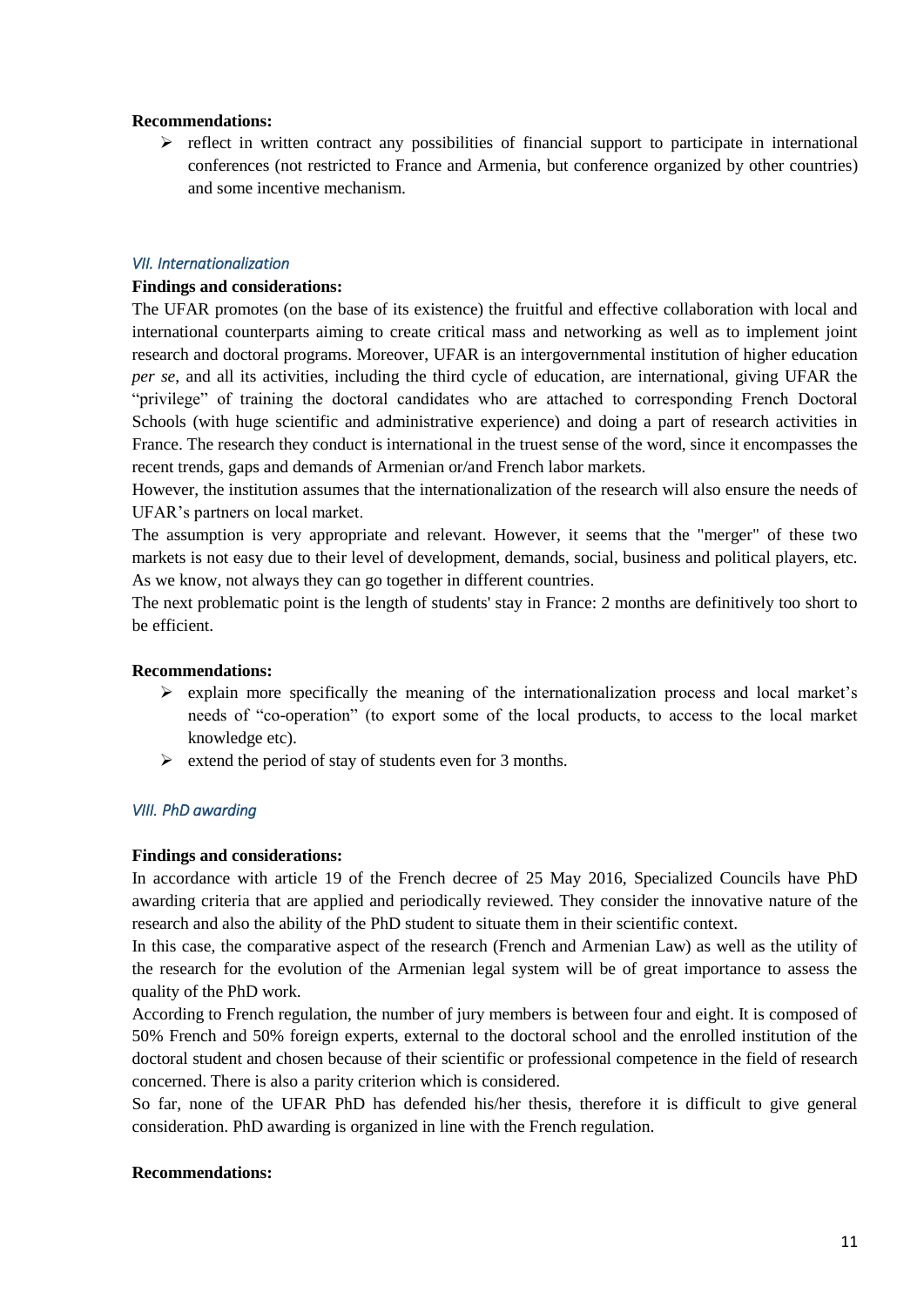#### **Recommendations:**

 $\triangleright$  reflect in written contract any possibilities of financial support to participate in international conferences (not restricted to France and Armenia, but conference organized by other countries) and some incentive mechanism.

## <span id="page-10-0"></span>*VII. Internationalization*

#### **Findings and considerations:**

The UFAR promotes (on the base of its existence) the fruitful and effective collaboration with local and international counterparts aiming to create critical mass and networking as well as to implement joint research and doctoral programs. Moreover, UFAR is an intergovernmental institution of higher education *per se*, and all its activities, including the third cycle of education, are international, giving UFAR the "privilege" of training the doctoral candidates who are attached to corresponding French Doctoral Schools (with huge scientific and administrative experience) and doing a part of research activities in France. The research they conduct is international in the truest sense of the word, since it encompasses the recent trends, gaps and demands of Armenian or/and French labor markets.

However, the institution assumes that the internationalization of the research will also ensure the needs of UFAR's partners on local market.

The assumption is very appropriate and relevant. However, it seems that the "merger" of these two markets is not easy due to their level of development, demands, social, business and political players, etc. As we know, not always they can go together in different countries.

The next problematic point is the length of students' stay in France: 2 months are definitively too short to be efficient.

#### **Recommendations:**

- $\triangleright$  explain more specifically the meaning of the internationalization process and local market's needs of "co-operation" (to export some of the local products, to access to the local market knowledge etc).
- $\triangleright$  extend the period of stay of students even for 3 months.

## <span id="page-10-1"></span>*VIII. PhD awarding*

#### **Findings and considerations:**

In accordance with article 19 of the French decree of 25 May 2016, Specialized Councils have PhD awarding criteria that are applied and periodically reviewed. They consider the innovative nature of the research and also the ability of the PhD student to situate them in their scientific context.

In this case, the comparative aspect of the research (French and Armenian Law) as well as the utility of the research for the evolution of the Armenian legal system will be of great importance to assess the quality of the PhD work.

According to French regulation, the number of jury members is between four and eight. It is composed of 50% French and 50% foreign experts, external to the doctoral school and the enrolled institution of the doctoral student and chosen because of their scientific or professional competence in the field of research concerned. There is also a parity criterion which is considered.

So far, none of the UFAR PhD has defended his/her thesis, therefore it is difficult to give general consideration. PhD awarding is organized in line with the French regulation.

#### **Recommendations:**